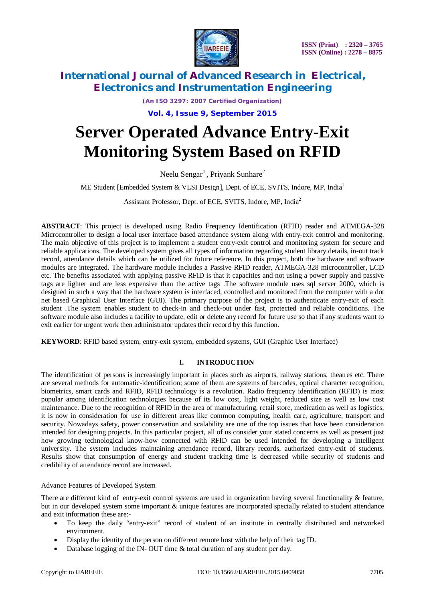

*(An ISO 3297: 2007 Certified Organization)* **Vol. 4, Issue 9, September 2015**

# **Server Operated Advance Entry-Exit Monitoring System Based on RFID**

Neelu Sengar<sup>1</sup>, Priyank Sunhare<sup>2</sup>

ME Student [Embedded System & VLSI Design], Dept. of ECE, SVITS, Indore, MP, India<sup>1</sup>

Assistant Professor, Dept. of ECE, SVITS, Indore, MP, India<sup>2</sup>

**ABSTRACT**: This project is developed using Radio Frequency Identification (RFID) reader and ATMEGA-328 Microcontroller to design a local user interface based attendance system along with entry-exit control and monitoring. The main objective of this project is to implement a student entry-exit control and monitoring system for secure and reliable applications. The developed system gives all types of information regarding student library details, in-out track record, attendance details which can be utilized for future reference. In this project, both the hardware and software modules are integrated. The hardware module includes a Passive RFID reader, ATMEGA-328 microcontroller, LCD etc. The benefits associated with applying passive RFID is that it capacities and not using a power supply and passive tags are lighter and are less expensive than the active tags .The software module uses sql server 2000, which is designed in such a way that the hardware system is interfaced, controlled and monitored from the computer with a dot net based Graphical User Interface (GUI). The primary purpose of the project is to authenticate entry-exit of each student .The system enables student to check-in and check-out under fast, protected and reliable conditions. The software module also includes a facility to update, edit or delete any record for future use so that if any students want to exit earlier for urgent work then administrator updates their record by this function.

**KEYWORD**: RFID based system, entry-exit system, embedded systems, GUI (Graphic User Interface)

#### **I. INTRODUCTION**

The identification of persons is increasingly important in places such as airports, railway stations, theatres etc. There are several methods for automatic-identification; some of them are systems of barcodes, optical character recognition, biometrics, smart cards and RFID, RFID technology is a revolution. Radio frequency identification (RFID) is most popular among identification technologies because of its low cost, light weight, reduced size as well as low cost maintenance. Due to the recognition of RFID in the area of manufacturing, retail store, medication as well as logistics, it is now in consideration for use in different areas like common computing, health care, agriculture, transport and security. Nowadays safety, power conservation and scalability are one of the top issues that have been consideration intended for designing projects. In this particular project, all of us consider your stated concerns as well as present just how growing technological know-how connected with RFID can be used intended for developing a intelligent university. The system includes maintaining attendance record, library records, authorized entry-exit of students. Results show that consumption of energy and student tracking time is decreased while security of students and credibility of attendance record are increased.

#### Advance Features of Developed System

There are different kind of entry-exit control systems are used in organization having several functionality & feature, but in our developed system some important & unique features are incorporated specially related to student attendance and exit information these are:-

- To keep the daily "entry-exit" record of student of an institute in centrally distributed and networked environment.
- Display the identity of the person on different remote host with the help of their tag ID.
- Database logging of the IN- OUT time & total duration of any student per day.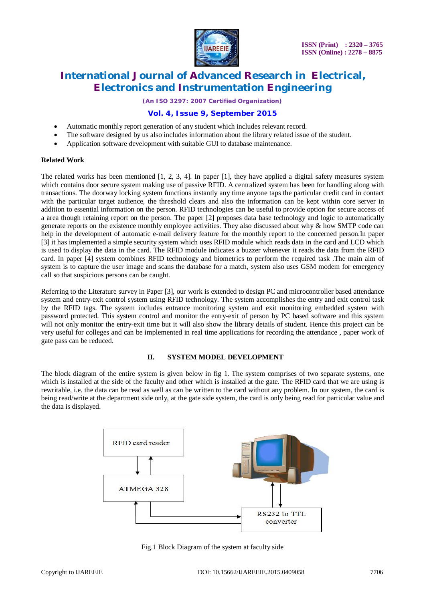

*(An ISO 3297: 2007 Certified Organization)*

### **Vol. 4, Issue 9, September 2015**

- Automatic monthly report generation of any student which includes relevant record.
- The software designed by us also includes information about the library related issue of the student.
- Application software development with suitable GUI to database maintenance.

#### **Related Work**

The related works has been mentioned [1, 2, 3, 4]. In paper [1], they have applied a digital safety measures system which contains door secure system making use of passive RFID. A centralized system has been for handling along with transactions. The doorway locking system functions instantly any time anyone taps the particular credit card in contact with the particular target audience, the threshold clears and also the information can be kept within core server in addition to essential information on the person. RFID technologies can be useful to provide option for secure access of a area though retaining report on the person. The paper [2] proposes data base technology and logic to automatically generate reports on the existence monthly employee activities. They also discussed about why & how SMTP code can help in the development of automatic e-mail delivery feature for the monthly report to the concerned person.In paper [3] it has implemented a simple security system which uses RFID module which reads data in the card and LCD which is used to display the data in the card. The RFID module indicates a buzzer whenever it reads the data from the RFID card. In paper [4] system combines RFID technology and biometrics to perform the required task .The main aim of system is to capture the user image and scans the database for a match, system also uses GSM modem for emergency call so that suspicious persons can be caught.

Referring to the Literature survey in Paper [3], our work is extended to design PC and microcontroller based attendance system and entry-exit control system using RFID technology. The system accomplishes the entry and exit control task by the RFID tags. The system includes entrance monitoring system and exit monitoring embedded system with password protected. This system control and monitor the entry-exit of person by PC based software and this system will not only monitor the entry-exit time but it will also show the library details of student. Hence this project can be very useful for colleges and can be implemented in real time applications for recording the attendance , paper work of gate pass can be reduced.

#### **II. SYSTEM MODEL DEVELOPMENT**

The block diagram of the entire system is given below in fig 1. The system comprises of two separate systems, one which is installed at the side of the faculty and other which is installed at the gate. The RFID card that we are using is rewritable, i.e. the data can be read as well as can be written to the card without any problem. In our system, the card is being read/write at the department side only, at the gate side system, the card is only being read for particular value and the data is displayed.



Fig.1 Block Diagram of the system at faculty side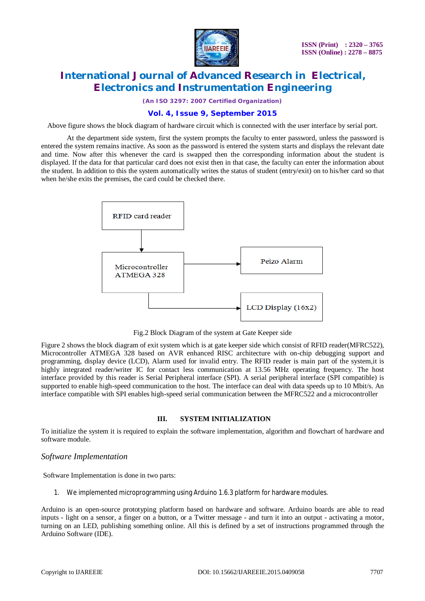

*(An ISO 3297: 2007 Certified Organization)*

### **Vol. 4, Issue 9, September 2015**

Above figure shows the block diagram of hardware circuit which is connected with the user interface by serial port.

At the department side system, first the system prompts the faculty to enter password, unless the password is entered the system remains inactive. As soon as the password is entered the system starts and displays the relevant date and time. Now after this whenever the card is swapped then the corresponding information about the student is displayed. If the data for that particular card does not exist then in that case, the faculty can enter the information about the student. In addition to this the system automatically writes the status of student (entry/exit) on to his/her card so that when he/she exits the premises, the card could be checked there.



Fig.2 Block Diagram of the system at Gate Keeper side

Figure 2 shows the block diagram of exit system which is at gate keeper side which consist of RFID reader(MFRC522), Microcontroller ATMEGA 328 based on AVR enhanced RISC architecture with on-chip debugging support and programming, display device (LCD), Alarm used for invalid entry. The RFID reader is main part of the system,it is highly integrated reader/writer IC for contact less communication at 13.56 MHz operating frequency. The host interface provided by this reader is Serial Peripheral interface (SPI). A serial peripheral interface (SPI compatible) is supported to enable high-speed communication to the host. The interface can deal with data speeds up to 10 Mbit/s. An interface compatible with SPI enables high-speed serial communication between the MFRC522 and a microcontroller

#### **III. SYSTEM INITIALIZATION**

To initialize the system it is required to explain the software implementation, algorithm and flowchart of hardware and software module.

#### *Software Implementation*

Software Implementation is done in two parts:

1. We implemented microprogramming using Arduino 1.6.3 platform for hardware modules.

Arduino is an open-source prototyping platform based on hardware and software. Arduino boards are able to read inputs - light on a sensor, a finger on a button, or a Twitter message - and turn it into an output - activating a motor, turning on an LED, publishing something online. All this is defined by a set of instructions programmed through the Arduino Software (IDE).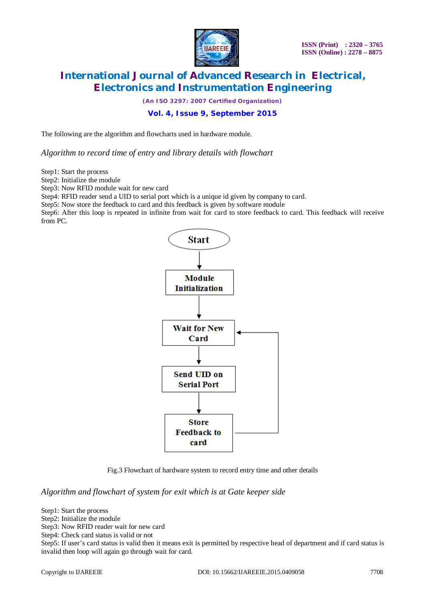

*(An ISO 3297: 2007 Certified Organization)*

**Vol. 4, Issue 9, September 2015**

The following are the algorithm and flowcharts used in hardware module.

*Algorithm to record time of entry and library details with flowchart* 

Step1: Start the process

Step2: Initialize the module

Step3: Now RFID module wait for new card

Step4: RFID reader send a UID to serial port which is a unique id given by company to card.

Step5: Now store the feedback to card and this feedback is given by software module

Step6: After this loop is repeated in infinite from wait for card to store feedback to card. This feedback will receive from PC.



Fig.3 Flowchart of hardware system to record entry time and other details

*Algorithm and flowchart of system for exit which is at Gate keeper side*

Step1: Start the process

Step2: Initialize the module

Step3: Now RFID reader wait for new card

Step4: Check card status is valid or not

Step5: If user's card status is valid then it means exit is permitted by respective head of department and if card status is invalid then loop will again go through wait for card.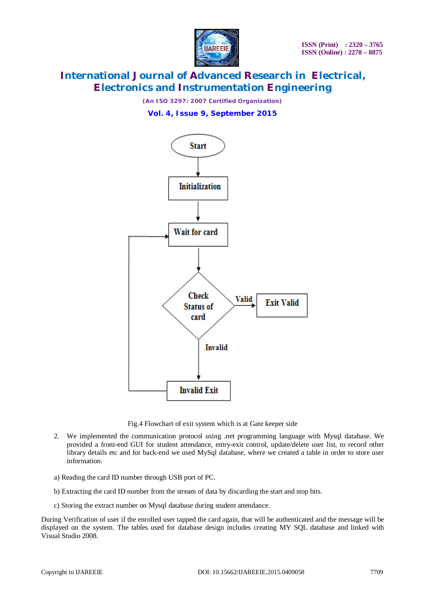

*(An ISO 3297: 2007 Certified Organization)* **Vol. 4, Issue 9, September 2015**



Fig.4 Flowchart of exit system which is at Gate keeper side

- 2. We implemented the communication protocol using .net programming language with Mysql database. We provided a front-end GUI for student attendance, entry-exit control, update/delete user list, to record other library details etc and for back-end we used MySql database, where we created a table in order to store user information.
- a) Reading the card ID number through USB port of PC.
- b) Extracting the card ID number from the stream of data by discarding the start and stop bits.
- c) Storing the extract number on Mysql database during student attendance.

During Verification of user if the enrolled user tapped the card again, that will be authenticated and the message will be displayed on the system. The tables used for database design includes creating MY SQL database and linked with Visual Studio 2008.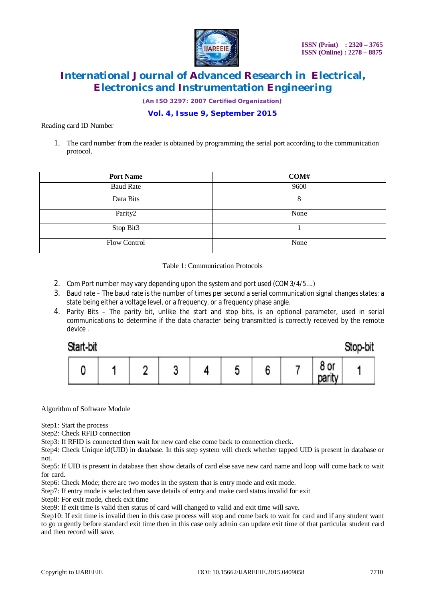

*(An ISO 3297: 2007 Certified Organization)*

**Vol. 4, Issue 9, September 2015**

Reading card ID Number

1. The card number from the reader is obtained by programming the serial port according to the communication protocol.

| <b>Port Name</b> | COMH |
|------------------|------|
| <b>Baud Rate</b> | 9600 |
| Data Bits        | 8    |
| Parity2          | None |
| Stop Bit3        |      |
| Flow Control     | None |

Table 1: Communication Protocols

- 2. Com Port number may vary depending upon the system and port used (COM3/4/5….)
- 3. Baud rate The baud rate is the number of times per second a serial communication signal changes states; a state being either a voltage level, or a frequency, or a frequency phase angle.
- 4. Parity Bits The parity bit, unlike the start and stop bits, is an optional parameter, used in serial communications to determine if the data character being transmitted is correctly received by the remote device .

| Start-bit |  |        |  |   |                     | Stop-bit |
|-----------|--|--------|--|---|---------------------|----------|
| м.        |  | o<br>⊾ |  | r | ٥<br>8 or<br>parity |          |

Algorithm of Software Module

Step1: Start the process

Step2: Check RFID connection

Step3: If RFID is connected then wait for new card else come back to connection check.

Step4: Check Unique id(UID) in database. In this step system will check whether tapped UID is present in database or not.

Step5: If UID is present in database then show details of card else save new card name and loop will come back to wait for card.

Step6: Check Mode; there are two modes in the system that is entry mode and exit mode.

Step7: If entry mode is selected then save details of entry and make card status invalid for exit

Step8: For exit mode, check exit time

Step9: If exit time is valid then status of card will changed to valid and exit time will save.

Step10: If exit time is invalid then in this case process will stop and come back to wait for card and if any student want to go urgently before standard exit time then in this case only admin can update exit time of that particular student card and then record will save.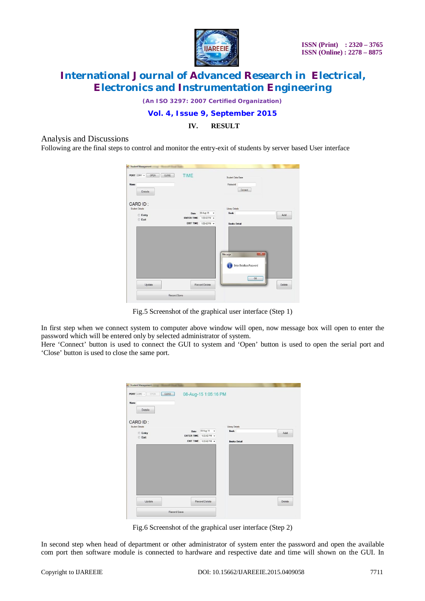

*(An ISO 3297: 2007 Certified Organization)*

### **Vol. 4, Issue 9, September 2015**

### **IV. RESULT**

Analysis and Discussions

Following are the final steps to control and monitor the entry-exit of students by server based User interface

| PORT COM1 -<br>OPEN<br>CLOSE | TIME              |              | Student Data Base                                 |     |
|------------------------------|-------------------|--------------|---------------------------------------------------|-----|
| Name<br>Details              |                   |              | Password<br>Connect                               |     |
| CARD ID:<br>Student Details  |                   |              | Library Details                                   |     |
| <b>Entry</b>                 | Date              | 08-Aug-15 v  | <b>Book</b>                                       | Add |
| <b>Exit</b>                  | <b>ENTER TIME</b> | 1:03:42 PM - |                                                   |     |
|                              | EXIT TIME         | 1:03:42 PM + | <b>Books Detail</b>                               |     |
|                              |                   |              |                                                   |     |
|                              |                   |              | $-x$<br>Message<br>Enter DataBase Password<br>OK. |     |

Fig.5 Screenshot of the graphical user interface (Step 1)

In first step when we connect system to computer above window will open, now message box will open to enter the password which will be entered only by selected administrator of system.

Here 'Connect' button is used to connect the GUI to system and 'Open' button is used to open the serial port and 'Close' button is used to close the same port.

| PORT COM3 -<br>CLOSE<br>OPEN |                   | 08-Aug-15 1:05:16 PM  |                     |        |
|------------------------------|-------------------|-----------------------|---------------------|--------|
| Name<br><b>Details</b>       |                   |                       |                     |        |
| CARD ID:<br>Student Details  |                   |                       | Library Details     |        |
|                              | Date              | 08-Aug-15 -           | <b>Book</b>         | Add    |
| <b>Entry</b><br><b>CExit</b> | <b>ENTER TIME</b> | 1:03:42 PM -          |                     |        |
|                              |                   | EXIT TIME 103:42 PM + | <b>Books Detail</b> |        |
|                              |                   |                       |                     |        |
|                              |                   |                       |                     |        |
| Update                       |                   | Record Delete         |                     | Delete |

Fig.6 Screenshot of the graphical user interface (Step 2)

In second step when head of department or other administrator of system enter the password and open the available com port then software module is connected to hardware and respective date and time will shown on the GUI. In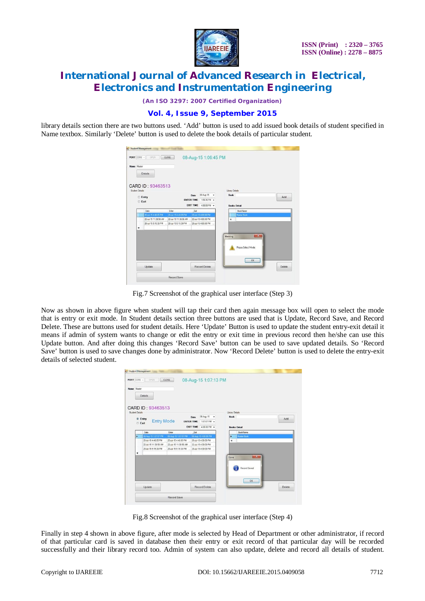

*(An ISO 3297: 2007 Certified Organization)*

### **Vol. 4, Issue 9, September 2015**

library details section there are two buttons used. 'Add' button is used to add issued book details of student specified in Name textbox. Similarly 'Delete' button is used to delete the book details of particular student.

| PORT COM6 -     | OPEN                  | CLOSE                                       |                   |                      | 08-Aug-15 1:06:45 PM |                     |                    |        |
|-----------------|-----------------------|---------------------------------------------|-------------------|----------------------|----------------------|---------------------|--------------------|--------|
| Name Master     | <b>Details</b>        |                                             |                   |                      |                      |                     |                    |        |
| Student Details | CARD ID: 93463513     |                                             |                   |                      |                      | Library Details     |                    |        |
|                 | <b>Entry</b>          |                                             | Date              | 08-Aug-15 -          |                      | <b>Book</b>         |                    | Add    |
|                 | <b>Exit</b>           |                                             | <b>ENTER TIME</b> | 1:06:36 PM -         |                      |                     |                    |        |
|                 |                       |                                             | <b>EXIT TIME</b>  | 4:00:00 PM -         |                      | <b>Books Detail</b> |                    |        |
|                 | Date                  | Erter                                       | Ext               |                      |                      |                     | <b>BookName</b>    |        |
|                 | 20-Jul-15 4:48:05 PM  | 20-Jul-15 4:48:05 PM                        |                   | 20-Jul-15 4:00:00 PM |                      |                     | Master Book        |        |
|                 | 22-Jul-15 11:38:58 AM | 22-Jul-15 11:38:58 AM  22-Jul-15 4:00:00 PM |                   |                      |                      |                     |                    |        |
|                 | 28-Jul-15 5:15:39 PM  | 28-Jul-15 5:15:39 PM  28-Jul-15 4:00:00 PM  |                   |                      |                      |                     |                    |        |
| ₩               |                       |                                             |                   |                      |                      |                     |                    |        |
|                 |                       |                                             |                   |                      |                      | Warning             | $-x$               |        |
|                 |                       |                                             |                   |                      |                      |                     |                    |        |
|                 |                       |                                             |                   |                      |                      |                     | Please Select Mode |        |
|                 |                       |                                             |                   |                      |                      |                     |                    |        |
|                 |                       |                                             |                   |                      |                      |                     |                    |        |
|                 |                       |                                             |                   |                      |                      |                     | OK                 |        |
|                 | Update                |                                             |                   | <b>Record Delete</b> |                      |                     |                    | Delete |
|                 |                       |                                             |                   |                      |                      |                     |                    |        |
|                 |                       |                                             |                   |                      |                      |                     |                    |        |

Fig.7 Screenshot of the graphical user interface (Step 3)

Now as shown in above figure when student will tap their card then again message box will open to select the mode that is entry or exit mode. In Student details section three buttons are used that is Update, Record Save, and Record Delete. These are buttons used for student details. Here 'Update' Button is used to update the student entry-exit detail it means if admin of system wants to change or edit the entry or exit time in previous record then he/she can use this Update button. And after doing this changes 'Record Save' button can be used to save updated details. So 'Record Save' button is used to save changes done by administrator. Now 'Record Delete' button is used to delete the entry-exit details of selected student.

| Name Master     |                                                                    |                                              |                                              |                         |        |
|-----------------|--------------------------------------------------------------------|----------------------------------------------|----------------------------------------------|-------------------------|--------|
|                 | Details                                                            |                                              |                                              |                         |        |
| Student Details | CARD ID: 93463513                                                  |                                              |                                              | Library Details         |        |
|                 |                                                                    | Date                                         | 08-Aug-15<br>٠                               | <b>Book</b>             |        |
|                 | <sup>®</sup> Entry<br><b>Entry Mode</b>                            | <b>ENTER TIME</b>                            | 1:07:07 PM -                                 |                         | Add    |
|                 | <b>Exit</b>                                                        | <b>EXIT TIME</b>                             |                                              |                         |        |
|                 |                                                                    |                                              | 4:00:00 PM -                                 | <b>Books Detail</b>     |        |
|                 | Enter<br>Date                                                      | Ext                                          |                                              | <b>BookName</b>         |        |
| ٠               | 08-Aug-15 1:07:07 PM<br>20-Jul-15 4:48:05 PM                       | 08-Aug-15 1:07:07 PM<br>20-Jul-15 4:48:05 PM | 08-Aug-15 4:00:00 PM<br>20-Jul-15 4:00:00 PM | <b>Master Book</b><br>٠ |        |
|                 | 22-Jul-15 11:38:58 AM  22-Jul-15 11:38:58 AM  22-Jul-15 4:00:00 PM |                                              |                                              | $\ast$                  |        |
|                 | 28-Jul-15 5:15:39 PM                                               | 28-Jul-15 5:15:39 PM                         | 28-Jul-15 4:00:00 PM                         |                         |        |
| ٠               |                                                                    |                                              |                                              |                         |        |
|                 |                                                                    |                                              |                                              | Done                    | $ x$   |
|                 |                                                                    |                                              |                                              |                         |        |
|                 |                                                                    |                                              |                                              |                         |        |
|                 |                                                                    |                                              |                                              | Record Saved            |        |
|                 |                                                                    |                                              |                                              |                         |        |
|                 |                                                                    |                                              |                                              | OK                      |        |
|                 | Update                                                             |                                              | Record Delete                                |                         |        |
|                 |                                                                    |                                              |                                              |                         | Delete |

Fig.8 Screenshot of the graphical user interface (Step 4)

Finally in step 4 shown in above figure, after mode is selected by Head of Department or other administrator, if record of that particular card is saved in database then their entry or exit record of that particular day will be recorded successfully and their library record too. Admin of system can also update, delete and record all details of student.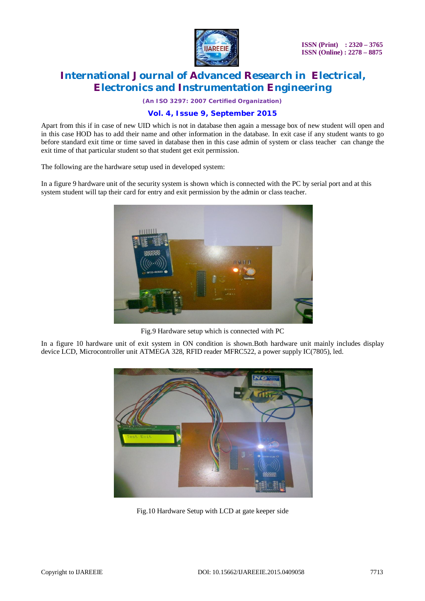

*(An ISO 3297: 2007 Certified Organization)*

### **Vol. 4, Issue 9, September 2015**

Apart from this if in case of new UID which is not in database then again a message box of new student will open and in this case HOD has to add their name and other information in the database. In exit case if any student wants to go before standard exit time or time saved in database then in this case admin of system or class teacher can change the exit time of that particular student so that student get exit permission.

The following are the hardware setup used in developed system:

In a figure 9 hardware unit of the security system is shown which is connected with the PC by serial port and at this system student will tap their card for entry and exit permission by the admin or class teacher.



Fig.9 Hardware setup which is connected with PC

In a figure 10 hardware unit of exit system in ON condition is shown.Both hardware unit mainly includes display device LCD, Microcontroller unit ATMEGA 328, RFID reader MFRC522, a power supply IC(7805), led.



Fig.10 Hardware Setup with LCD at gate keeper side